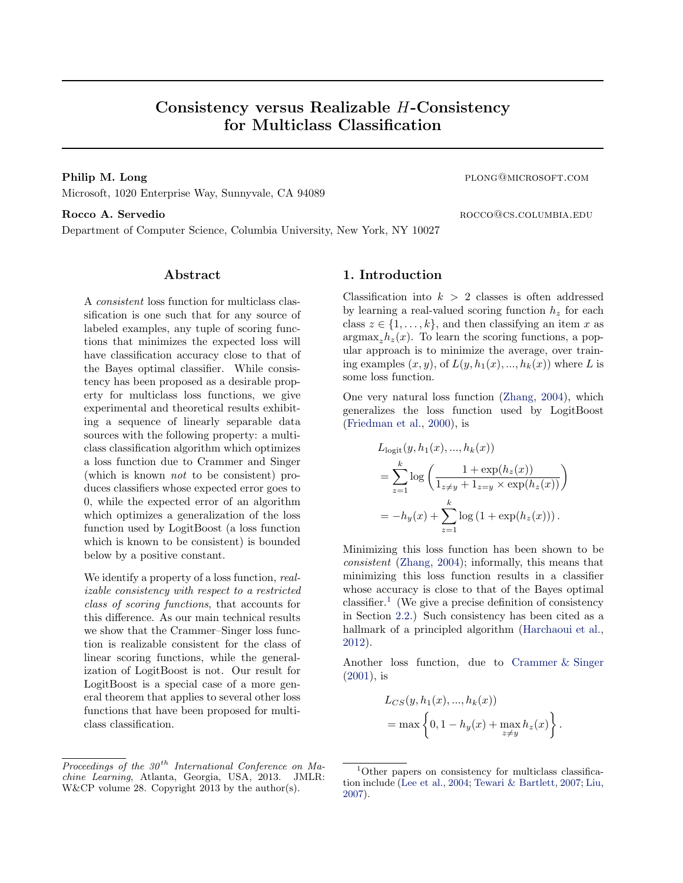# Consistency versus Realizable H-Consistency for Multiclass Classification

Microsoft, 1020 Enterprise Way, Sunnyvale, CA 94089

### Rocco A. Servedio **Rocco** and the roccomusic results and the roccomusic results and the roccomusic results and the roccomusic results and the roccomusic results and the roccomusic results and the roccomusic results and the

Department of Computer Science, Columbia University, New York, NY 10027

# Abstract

A consistent loss function for multiclass classification is one such that for any source of labeled examples, any tuple of scoring functions that minimizes the expected loss will have classification accuracy close to that of the Bayes optimal classifier. While consistency has been proposed as a desirable property for multiclass loss functions, we give experimental and theoretical results exhibiting a sequence of linearly separable data sources with the following property: a multiclass classification algorithm which optimizes a loss function due to Crammer and Singer (which is known not to be consistent) produces classifiers whose expected error goes to 0, while the expected error of an algorithm which optimizes a generalization of the loss function used by LogitBoost (a loss function which is known to be consistent) is bounded below by a positive constant.

We identify a property of a loss function, *real*izable consistency with respect to a restricted class of scoring functions, that accounts for this difference. As our main technical results we show that the Crammer–Singer loss function is realizable consistent for the class of linear scoring functions, while the generalization of LogitBoost is not. Our result for LogitBoost is a special case of a more general theorem that applies to several other loss functions that have been proposed for multiclass classification.

# 1. Introduction

Classification into  $k > 2$  classes is often addressed by learning a real-valued scoring function  $h<sub>z</sub>$  for each class  $z \in \{1, \ldots, k\}$ , and then classifying an item x as  $argmax_z h_z(x)$ . To learn the scoring functions, a popular approach is to minimize the average, over training examples  $(x, y)$ , of  $L(y, h_1(x), ..., h_k(x))$  where L is some loss function.

One very natural loss function [\(Zhang](#page-8-0), [2004](#page-8-0)), which generalizes the loss function used by LogitBoost [\(Friedman et al.,](#page-8-0) [2000\)](#page-8-0), is

$$
L_{\text{logit}}(y, h_1(x), ..., h_k(x))
$$
  
= 
$$
\sum_{z=1}^k \log \left( \frac{1 + \exp(h_z(x))}{1_{z \neq y} + 1_{z=y} \times \exp(h_z(x))} \right)
$$
  
= 
$$
-h_y(x) + \sum_{z=1}^k \log \left( 1 + \exp(h_z(x)) \right).
$$

Minimizing this loss function has been shown to be consistent [\(Zhang,](#page-8-0) [2004](#page-8-0)); informally, this means that minimizing this loss function results in a classifier whose accuracy is close to that of the Bayes optimal classifier.<sup>1</sup> (We give a precise definition of consistency in Section [2.2.](#page-2-0)) Such consistency has been cited as a hallmark of a principled algorithm [\(Harchaoui et al.,](#page-8-0) [2012](#page-8-0)).

Another loss function, due to [Crammer & Singer](#page-8-0) [\(2001](#page-8-0)), is

$$
L_{CS}(y, h_1(x),...,h_k(x))
$$
  
= max  $\left\{0, 1 - h_y(x) + \max_{z \neq y} h_z(x)\right\}$ .

Philip M. Long plong@microsoft.com

Proceedings of the  $30<sup>th</sup>$  International Conference on Machine Learning, Atlanta, Georgia, USA, 2013. JMLR: W&CP volume 28. Copyright 2013 by the author(s).

<sup>&</sup>lt;sup>1</sup>Other papers on consistency for multiclass classification include [\(Lee et al.](#page-8-0), [2004](#page-8-0); [Tewari & Bartlett,](#page-8-0) [2007;](#page-8-0) [Liu,](#page-8-0) [2007\)](#page-8-0).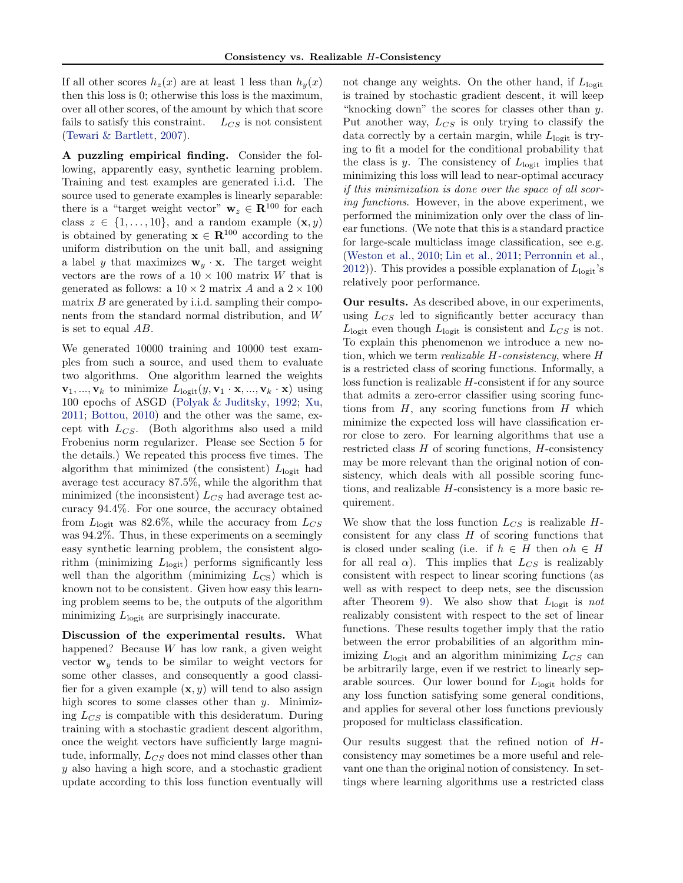If all other scores  $h_z(x)$  are at least 1 less than  $h_y(x)$ then this loss is 0; otherwise this loss is the maximum, over all other scores, of the amount by which that score fails to satisfy this constraint.  $L_{CS}$  is not consistent [\(Tewari & Bartlett,](#page-8-0) [2007\)](#page-8-0).

A puzzling empirical finding. Consider the following, apparently easy, synthetic learning problem. Training and test examples are generated i.i.d. The source used to generate examples is linearly separable: there is a "target weight vector"  $\mathbf{w}_z \in \mathbb{R}^{100}$  for each class  $z \in \{1, \ldots, 10\}$ , and a random example  $(\mathbf{x}, y)$ is obtained by generating  $\mathbf{x} \in \mathbb{R}^{100}$  according to the uniform distribution on the unit ball, and assigning a label y that maximizes  $\mathbf{w}_y \cdot \mathbf{x}$ . The target weight vectors are the rows of a  $10 \times 100$  matrix W that is generated as follows: a  $10 \times 2$  matrix A and a  $2 \times 100$ matrix  $B$  are generated by i.i.d. sampling their components from the standard normal distribution, and W is set to equal AB.

We generated 10000 training and 10000 test examples from such a source, and used them to evaluate two algorithms. One algorithm learned the weights  $\mathbf{v}_1, \ldots, \mathbf{v}_k$  to minimize  $L_{\text{logit}}(y, \mathbf{v}_1 \cdot \mathbf{x}, \ldots, \mathbf{v}_k \cdot \mathbf{x})$  using 100 epochs of ASGD [\(Polyak & Juditsky](#page-8-0), [1992](#page-8-0); [Xu,](#page-8-0) [2011](#page-8-0); [Bottou](#page-7-0), [2010\)](#page-7-0) and the other was the same, except with  $L_{CS}$ . (Both algorithms also used a mild Frobenius norm regularizer. Please see Section [5](#page-6-0) for the details.) We repeated this process five times. The algorithm that minimized (the consistent)  $L_{\text{logit}}$  had average test accuracy 87.5%, while the algorithm that minimized (the inconsistent)  $L_{CS}$  had average test accuracy 94.4%. For one source, the accuracy obtained from  $L_{\text{logit}}$  was 82.6%, while the accuracy from  $L_{CS}$ was 94.2%. Thus, in these experiments on a seemingly easy synthetic learning problem, the consistent algorithm (minimizing  $L_{\text{logit}}$ ) performs significantly less well than the algorithm (minimizing  $L_{\text{CS}}$ ) which is known not to be consistent. Given how easy this learning problem seems to be, the outputs of the algorithm minimizing  $L_{\text{logit}}$  are surprisingly inaccurate.

Discussion of the experimental results. What happened? Because W has low rank, a given weight vector  $\mathbf{w}_y$  tends to be similar to weight vectors for some other classes, and consequently a good classifier for a given example  $(\mathbf{x}, y)$  will tend to also assign high scores to some classes other than  $y$ . Minimizing  $L_{CS}$  is compatible with this desideratum. During training with a stochastic gradient descent algorithm, once the weight vectors have sufficiently large magnitude, informally,  $L_{CS}$  does not mind classes other than y also having a high score, and a stochastic gradient update according to this loss function eventually will not change any weights. On the other hand, if  $L<sub>logit</sub>$ is trained by stochastic gradient descent, it will keep "knocking down" the scores for classes other than y. Put another way,  $L_{CS}$  is only trying to classify the data correctly by a certain margin, while  $L_{\text{logit}}$  is trying to fit a model for the conditional probability that the class is y. The consistency of  $L_{\text{logit}}$  implies that minimizing this loss will lead to near-optimal accuracy if this minimization is done over the space of all scoring functions. However, in the above experiment, we performed the minimization only over the class of linear functions. (We note that this is a standard practice for large-scale multiclass image classification, see e.g. [\(Weston et al.,](#page-8-0) [2010](#page-8-0); [Lin et al.,](#page-8-0) [2011;](#page-8-0) [Perronnin et al.,](#page-8-0) [2012](#page-8-0))). This provides a possible explanation of  $L_{\text{logit}}$ 's relatively poor performance.

Our results. As described above, in our experiments, using  $L_{CS}$  led to significantly better accuracy than  $L_{\text{logit}}$  even though  $L_{\text{logit}}$  is consistent and  $L_{CS}$  is not. To explain this phenomenon we introduce a new notion, which we term realizable H-consistency, where H is a restricted class of scoring functions. Informally, a loss function is realizable H-consistent if for any source that admits a zero-error classifier using scoring functions from  $H$ , any scoring functions from  $H$  which minimize the expected loss will have classification error close to zero. For learning algorithms that use a restricted class  $H$  of scoring functions,  $H$ -consistency may be more relevant than the original notion of consistency, which deals with all possible scoring functions, and realizable H-consistency is a more basic requirement.

We show that the loss function  $L_{CS}$  is realizable Hconsistent for any class  $H$  of scoring functions that is closed under scaling (i.e. if  $h \in H$  then  $\alpha h \in H$ for all real  $\alpha$ ). This implies that  $L_{CS}$  is realizably consistent with respect to linear scoring functions (as well as with respect to deep nets, see the discussion after Theorem [9\)](#page-3-0). We also show that  $L<sub>logit</sub>$  is not realizably consistent with respect to the set of linear functions. These results together imply that the ratio between the error probabilities of an algorithm minimizing  $L_{\text{logit}}$  and an algorithm minimizing  $L_{CS}$  can be arbitrarily large, even if we restrict to linearly separable sources. Our lower bound for  $L<sub>logit</sub>$  holds for any loss function satisfying some general conditions, and applies for several other loss functions previously proposed for multiclass classification.

Our results suggest that the refined notion of Hconsistency may sometimes be a more useful and relevant one than the original notion of consistency. In settings where learning algorithms use a restricted class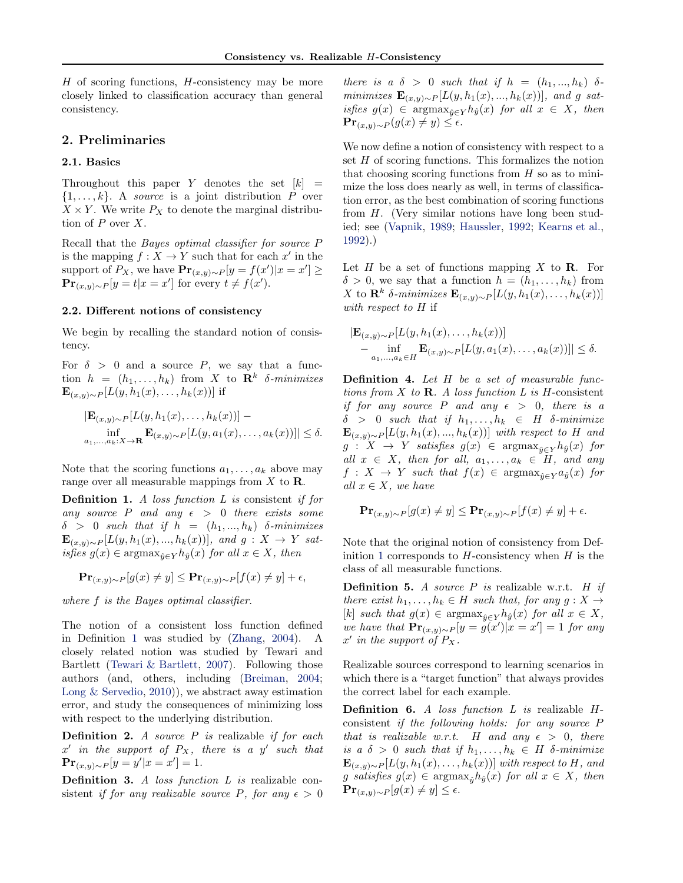<span id="page-2-0"></span> $H$  of scoring functions,  $H$ -consistency may be more closely linked to classification accuracy than general consistency.

## 2. Preliminaries

#### 2.1. Basics

Throughout this paper Y denotes the set  $[k]$  =  $\{1, \ldots, k\}$ . A source is a joint distribution P over  $X \times Y$ . We write  $P_X$  to denote the marginal distribution of  $P$  over  $X$ .

Recall that the Bayes optimal classifier for source P is the mapping  $f: X \to Y$  such that for each x' in the support of  $P_X$ , we have  $\mathbf{Pr}_{(x,y)\sim P}[y = f(x')|x = x'] \ge$  $\mathbf{Pr}_{(x,y)\sim P}[y=t|x=x']$  for every  $t \neq f(x')$ .

### 2.2. Different notions of consistency

We begin by recalling the standard notion of consistency.

For  $\delta > 0$  and a source P, we say that a function  $h = (h_1, \ldots, h_k)$  from X to  $\mathbb{R}^k$  δ-minimizes  $\mathbf{E}_{(x,y)\sim P}[L(y,h_1(x),\ldots,h_k(x))]$  if

$$
|\mathbf{E}_{(x,y)\sim P}[L(y,h_1(x),\ldots,h_k(x))] - \inf_{a_1,\ldots,a_k:X\to\mathbf{R}} \mathbf{E}_{(x,y)\sim P}[L(y,a_1(x),\ldots,a_k(x))]| \le \delta.
$$

Note that the scoring functions  $a_1, \ldots, a_k$  above may range over all measurable mappings from  $X$  to  $\mathbf{R}$ .

**Definition 1.** A loss function  $L$  is consistent if for any source P and any  $\epsilon > 0$  there exists some  $\delta > 0$  such that if  $h = (h_1, ..., h_k)$  δ-minimizes  ${\bf E}_{(x,y)\sim P}[L(y, h_1(x),..., h_k(x))],$  and  $g: X \to Y$  satisfies  $g(x) \in \text{argmax}_{\hat{y} \in Y} h_{\hat{y}}(x)$  for all  $x \in X$ , then

$$
\mathbf{Pr}_{(x,y)\sim P}[g(x) \neq y] \leq \mathbf{Pr}_{(x,y)\sim P}[f(x) \neq y] + \epsilon,
$$

where f is the Bayes optimal classifier.

The notion of a consistent loss function defined in Definition 1 was studied by [\(Zhang](#page-8-0), [2004\)](#page-8-0). A closely related notion was studied by Tewari and Bartlett [\(Tewari & Bartlett](#page-8-0), [2007\)](#page-8-0). Following those authors (and, others, including [\(Breiman,](#page-8-0) [2004;](#page-8-0) [Long & Servedio](#page-8-0), [2010\)](#page-8-0)), we abstract away estimation error, and study the consequences of minimizing loss with respect to the underlying distribution.

**Definition 2.** A source  $P$  is realizable if for each  $x'$  in the support of  $P_X$ , there is a y' such that  $\mathbf{Pr}_{(x,y)\sim P}[y=y'|x=x'] = 1.$ 

Definition 3. A loss function L is realizable consistent if for any realizable source P, for any  $\epsilon > 0$ 

there is a  $\delta > 0$  such that if  $h = (h_1, ..., h_k)$   $\delta$  $minimizes \mathbf{E}_{(x,y)\sim P}[L(y, h_1(x),..., h_k(x))]$ , and g satisfies  $g(x) \in \text{argmax}_{\hat{y} \in Y} h_{\hat{y}}(x)$  for all  $x \in X$ , then  $\mathbf{Pr}_{(x,y)\sim P}(g(x) \neq y) \leq \epsilon.$ 

We now define a notion of consistency with respect to a set  $H$  of scoring functions. This formalizes the notion that choosing scoring functions from  $H$  so as to minimize the loss does nearly as well, in terms of classification error, as the best combination of scoring functions from H. (Very similar notions have long been studied; see [\(Vapnik,](#page-8-0) [1989](#page-8-0); [Haussler](#page-8-0), [1992;](#page-8-0) [Kearns et al.,](#page-8-0) [1992](#page-8-0)).)

Let H be a set of functions mapping X to  $\mathbf R$ . For  $\delta > 0$ , we say that a function  $h = (h_1, \ldots, h_k)$  from X to  $\mathbf{R}^k$  δ-minimizes  $\mathbf{E}_{(x,y)\sim P}[L(y, h_1(x), \ldots, h_k(x))]$ with respect to H if

$$
|\mathbf{E}_{(x,y)\sim P}[L(y,h_1(x),\ldots,h_k(x))]
$$
  
 
$$
-\inf_{a_1,\ldots,a_k\in H} \mathbf{E}_{(x,y)\sim P}[L(y,a_1(x),\ldots,a_k(x))]| \le \delta.
$$

Definition 4. Let H be a set of measurable functions from  $X$  to  $\mathbf{R}$ . A loss function  $L$  is H-consistent if for any source P and any  $\epsilon > 0$ , there is a  $\delta > 0$  such that if  $h_1, \ldots, h_k \in H$  δ-minimize  $\mathbf{E}_{(x,y)\sim P}[L(y,h_1(x),...,h_k(x))]$  with respect to H and  $g: X \to Y$  satisfies  $g(x) \in \text{argmax}_{\hat{y} \in Y} h_{\hat{y}}(x)$  for all  $x \in X$ , then for all,  $a_1, \ldots, a_k \in H$ , and any  $f: X \to Y$  such that  $f(x) \in \text{argmax}_{\hat{y} \in Y} a_{\hat{y}}(x)$  for all  $x \in X$ , we have

$$
\mathbf{Pr}_{(x,y)\sim P}[g(x) \neq y] \leq \mathbf{Pr}_{(x,y)\sim P}[f(x) \neq y] + \epsilon.
$$

Note that the original notion of consistency from Definition 1 corresponds to  $H$ -consistency when  $H$  is the class of all measurable functions.

**Definition 5.** A source  $P$  is realizable w.r.t.  $H$  if there exist  $h_1, \ldots, h_k \in H$  such that, for any  $g: X \to$ [k] such that  $g(x) \in \text{argmax}_{\hat{y} \in Y} h_{\hat{y}}(x)$  for all  $x \in X$ , we have that  $\mathbf{Pr}_{(x,y)\sim P}[y = g(x')|x = x'] = 1$  for any  $x'$  in the support of  $P_X$ .

Realizable sources correspond to learning scenarios in which there is a "target function" that always provides the correct label for each example.

**Definition 6.** A loss function  $L$  is realizable  $H$ consistent if the following holds: for any source P that is realizable w.r.t. H and any  $\epsilon > 0$ , there is a  $\delta > 0$  such that if  $h_1, \ldots, h_k \in H$  δ-minimize  $\mathbf{E}_{(x,y)\sim P}[L(y, h_1(x), \ldots, h_k(x))]$  with respect to H, and g satisfies  $g(x) \in \text{argmax}_{\hat{y}} h_{\hat{y}}(x)$  for all  $x \in X$ , then  $\mathbf{Pr}_{(x,y)\sim P}[g(x) \neq y] \leq \epsilon.$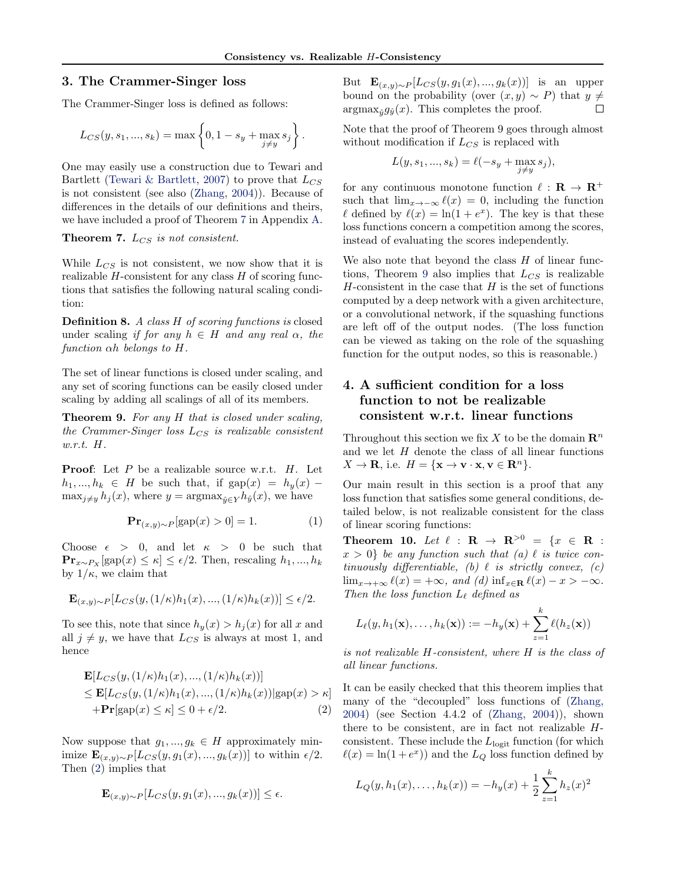# <span id="page-3-0"></span>3. The Crammer-Singer loss

The Crammer-Singer loss is defined as follows:

$$
L_{CS}(y, s_1, ..., s_k) = \max \left\{ 0, 1 - s_y + \max_{j \neq y} s_j \right\}.
$$

One may easily use a construction due to Tewari and Bartlett [\(Tewari & Bartlett](#page-8-0), [2007](#page-8-0)) to prove that  $L_{CS}$ is not consistent (see also [\(Zhang](#page-8-0), [2004\)](#page-8-0)). Because of differences in the details of our definitions and theirs, we have included a proof of Theorem 7 in Appendix [A.](#page-6-0)

**Theorem 7.**  $L_{CS}$  is not consistent.

While  $L_{CS}$  is not consistent, we now show that it is realizable  $H$ -consistent for any class  $H$  of scoring functions that satisfies the following natural scaling condition:

Definition 8. A class H of scoring functions is closed under scaling if for any  $h \in H$  and any real  $\alpha$ , the function αh belongs to H.

The set of linear functions is closed under scaling, and any set of scoring functions can be easily closed under scaling by adding all scalings of all of its members.

Theorem 9. For any H that is closed under scaling, the Crammer-Singer loss  $L_{CS}$  is realizable consistent w.r.t. H.

**Proof:** Let  $P$  be a realizable source w.r.t.  $H$ . Let  $h_1, ..., h_k \in H$  be such that, if  $\text{gap}(x) = h_y(x) \max_{j\neq y} h_j(x)$ , where  $y = \arg\max_{\hat{y} \in Y} h_{\hat{y}}(x)$ , we have

$$
\mathbf{Pr}_{(x,y)\sim P}[\text{gap}(x) > 0] = 1. \tag{1}
$$

Choose  $\epsilon > 0$ , and let  $\kappa > 0$  be such that  $\mathbf{Pr}_{x \sim P_X}[\text{gap}(x) \leq \kappa] \leq \epsilon/2$ . Then, rescaling  $h_1, ..., h_k$ by  $1/\kappa$ , we claim that

$$
\mathbf{E}_{(x,y)\sim P}[L_{CS}(y,(1/\kappa)h_1(x),..., (1/\kappa)h_k(x))]\leq \epsilon/2.
$$

To see this, note that since  $h_y(x) > h_j(x)$  for all x and all  $j \neq y$ , we have that  $L_{CS}$  is always at most 1, and hence

$$
\mathbf{E}[L_{CS}(y,(1/\kappa)h_1(x),...,(1/\kappa)h_k(x))]
$$
  
\n
$$
\leq \mathbf{E}[L_{CS}(y,(1/\kappa)h_1(x),...,(1/\kappa)h_k(x))|\text{gap}(x) > \kappa]
$$
  
\n
$$
+\mathbf{Pr}[\text{gap}(x) \leq \kappa] \leq 0 + \epsilon/2.
$$
 (2)

Now suppose that  $g_1, ..., g_k \in H$  approximately minimize  $\mathbf{E}_{(x,y)\sim P}[L_{CS}(y,g_1(x),...,g_k(x))]$  to within  $\epsilon/2$ . Then (2) implies that

$$
\mathbf{E}_{(x,y)\sim P}[L_{CS}(y,g_1(x),...,g_k(x))]\leq \epsilon.
$$

But  $\mathbf{E}_{(x,y)\sim P}[L_{CS}(y,g_1(x),...,g_k(x))]$  is an upper bound on the probability (over  $(x, y) \sim P$ ) that  $y \neq \operatorname{argmax}_{a} a_a(x)$ . This completes the proof.  $\argmax_{\hat{y}} g_{\hat{y}}(x)$ . This completes the proof.

Note that the proof of Theorem 9 goes through almost without modification if  $L_{CS}$  is replaced with

$$
L(y, s_1, ..., s_k) = \ell(-s_y + \max_{j \neq y} s_j),
$$

for any continuous monotone function  $\ell : \mathbf{R} \to \mathbf{R}^+$ such that  $\lim_{x\to-\infty} \ell(x) = 0$ , including the function  $\ell$  defined by  $\ell(x) = \ln(1 + e^x)$ . The key is that these loss functions concern a competition among the scores, instead of evaluating the scores independently.

We also note that beyond the class  $H$  of linear functions, Theorem 9 also implies that  $L_{CS}$  is realizable  $H$ -consistent in the case that  $H$  is the set of functions computed by a deep network with a given architecture, or a convolutional network, if the squashing functions are left off of the output nodes. (The loss function can be viewed as taking on the role of the squashing function for the output nodes, so this is reasonable.)

# 4. A sufficient condition for a loss function to not be realizable consistent w.r.t. linear functions

Throughout this section we fix X to be the domain  $\mathbb{R}^n$ and we let  $H$  denote the class of all linear functions  $X \to \mathbf{R}$ , i.e.  $H = \{ \mathbf{x} \to \mathbf{v} \cdot \mathbf{x}, \mathbf{v} \in \mathbf{R}^n \}.$ 

Our main result in this section is a proof that any loss function that satisfies some general conditions, detailed below, is not realizable consistent for the class of linear scoring functions:

Theorem 10. Let  $\ell$  :  $\mathbf{R} \to \mathbf{R}^{>0} = \{x \in \mathbf{R} :$  $x > 0$  be any function such that (a)  $\ell$  is twice continuously differentiable, (b)  $\ell$  is strictly convex, (c)  $\lim_{x\to+\infty} \ell(x) = +\infty$ , and (d)  $\inf_{x\in\mathbf{R}} \ell(x) - x > -\infty$ . Then the loss function  $L_{\ell}$  defined as

$$
L_{\ell}(y, h_1(\mathbf{x}), \ldots, h_k(\mathbf{x})) := -h_y(\mathbf{x}) + \sum_{z=1}^k \ell(h_z(\mathbf{x}))
$$

is not realizable H-consistent, where H is the class of all linear functions.

It can be easily checked that this theorem implies that many of the "decoupled" loss functions of [\(Zhang,](#page-8-0) [2004](#page-8-0)) (see Section 4.4.2 of [\(Zhang,](#page-8-0) [2004](#page-8-0))), shown there to be consistent, are in fact not realizable Hconsistent. These include the  $L_{\text{logit}}$  function (for which  $\ell(x) = \ln(1 + e^x)$  and the  $L_Q$  loss function defined by

$$
L_Q(y, h_1(x), \dots, h_k(x)) = -h_y(x) + \frac{1}{2} \sum_{z=1}^k h_z(x)^2
$$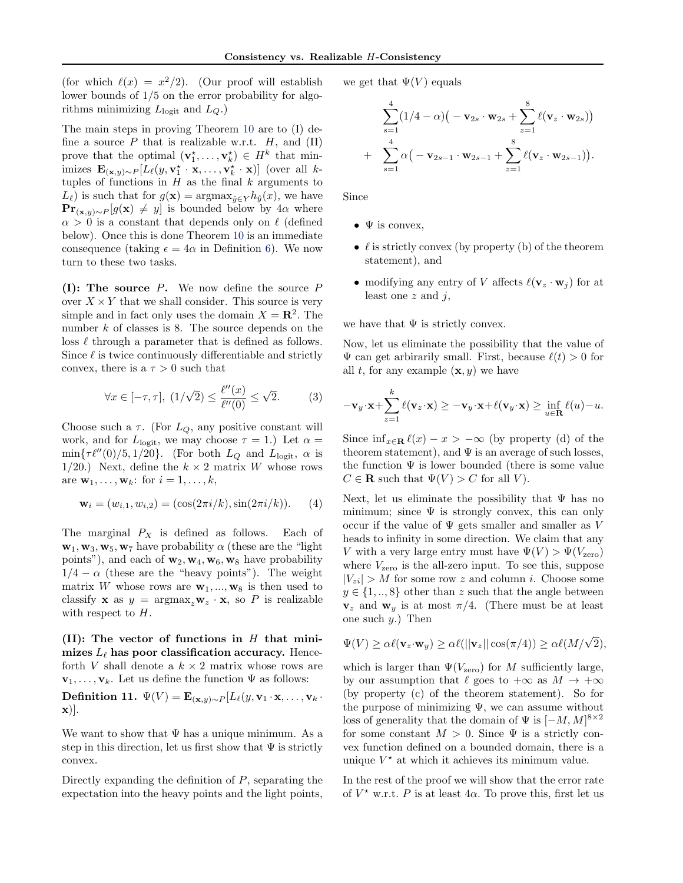<span id="page-4-0"></span>(for which  $\ell(x) = x^2/2$ ). (Our proof will establish lower bounds of 1/5 on the error probability for algorithms minimizing  $L_{\text{logit}}$  and  $L_Q$ .)

The main steps in proving Theorem [10](#page-3-0) are to (I) define a source  $P$  that is realizable w.r.t.  $H$ , and  $(II)$ prove that the optimal  $(\mathbf{v}_1^*, \ldots, \mathbf{v}_k^*) \in H^k$  that minimizes  $\mathbf{E}_{(\mathbf{x},y)\sim P}[L_{\ell}(y,\mathbf{v}_1^{\star}\cdot\mathbf{x},\ldots,\mathbf{v}_k^{\star}\cdot\mathbf{x})]$  (over all ktuples of functions in  $H$  as the final  $k$  arguments to  $L_{\ell}$ ) is such that for  $g(\mathbf{x}) = \operatorname{argmax}_{\hat{y} \in Y} h_{\hat{y}}(x)$ , we have  $\mathbf{Pr}_{(\mathbf{x},y)\sim P}[g(\mathbf{x}) \neq y]$  is bounded below by 4 $\alpha$  where  $\alpha > 0$  is a constant that depends only on  $\ell$  (defined below). Once this is done Theorem [10](#page-3-0) is an immediate consequence (taking  $\epsilon = 4\alpha$  in Definition [6\)](#page-2-0). We now turn to these two tasks.

(I): The source  $P$ . We now define the source  $P$ over  $X \times Y$  that we shall consider. This source is very simple and in fact only uses the domain  $X = \mathbb{R}^2$ . The number k of classes is 8. The source depends on the loss  $\ell$  through a parameter that is defined as follows. Since  $\ell$  is twice continuously differentiable and strictly convex, there is a  $\tau > 0$  such that

$$
\forall x \in [-\tau, \tau], \ (1/\sqrt{2}) \le \frac{\ell''(x)}{\ell''(0)} \le \sqrt{2}.\tag{3}
$$

Choose such a  $\tau$ . (For  $L_Q$ , any positive constant will work, and for  $L_{\text{logit}}$ , we may choose  $\tau = 1$ .) Let  $\alpha =$  $\min\{\tau\ell''(0)/5, 1/20\}.$  (For both  $L_Q$  and  $L_{\text{logit}}$ ,  $\alpha$  is 1/20.) Next, define the  $k \times 2$  matrix W whose rows are  $\mathbf{w}_1, \ldots, \mathbf{w}_k$ : for  $i = 1, \ldots, k$ ,

$$
\mathbf{w}_i = (w_{i,1}, w_{i,2}) = (\cos(2\pi i/k), \sin(2\pi i/k)).
$$
 (4)

The marginal  $P_X$  is defined as follows. Each of  $\mathbf{w}_1, \mathbf{w}_3, \mathbf{w}_5, \mathbf{w}_7$  have probability  $\alpha$  (these are the "light") points"), and each of  $w_2, w_4, w_6, w_8$  have probability  $1/4 - \alpha$  (these are the "heavy points"). The weight matrix W whose rows are  $\mathbf{w}_1, ..., \mathbf{w}_8$  is then used to classify **x** as  $y = \argmax_z \mathbf{w}_z \cdot \mathbf{x}$ , so P is realizable with respect to  $H$ .

(II): The vector of functions in  $H$  that minimizes  $L_{\ell}$  has poor classification accuracy. Henceforth V shall denote a  $k \times 2$  matrix whose rows are  $\mathbf{v}_1, \ldots, \mathbf{v}_k$ . Let us define the function  $\Psi$  as follows:

Definition 11.  $\Psi(V) = \mathbf{E}_{(\mathbf{x},y)\sim P}[L_{\ell}(y,\mathbf{v}_1\cdot\mathbf{x},\ldots,\mathbf{v}_k\cdot\mathbf{v}_k]$ x)].

We want to show that  $\Psi$  has a unique minimum. As a step in this direction, let us first show that  $\Psi$  is strictly convex.

Directly expanding the definition of  $P$ , separating the expectation into the heavy points and the light points, we get that  $\Psi(V)$  equals

$$
\sum_{s=1}^{4} (1/4 - \alpha) (-\mathbf{v}_{2s} \cdot \mathbf{w}_{2s} + \sum_{z=1}^{8} \ell(\mathbf{v}_{z} \cdot \mathbf{w}_{2s})) + \sum_{s=1}^{4} \alpha (-\mathbf{v}_{2s-1} \cdot \mathbf{w}_{2s-1} + \sum_{z=1}^{8} \ell(\mathbf{v}_{z} \cdot \mathbf{w}_{2s-1})).
$$

Since

- $\Psi$  is convex,
- $\ell$  is strictly convex (by property (b) of the theorem statement), and
- modifying any entry of V affects  $\ell(\mathbf{v}_z \cdot \mathbf{w}_i)$  for at least one  $z$  and  $i$ ,

we have that  $\Psi$  is strictly convex.

Now, let us eliminate the possibility that the value of  $\Psi$  can get arbirarily small. First, because  $\ell(t) > 0$  for all t, for any example  $(\mathbf{x}, y)$  we have

$$
-\mathbf{v}_y \cdot \mathbf{x} + \sum_{z=1}^k \ell(\mathbf{v}_z \cdot \mathbf{x}) \ge -\mathbf{v}_y \cdot \mathbf{x} + \ell(\mathbf{v}_y \cdot \mathbf{x}) \ge \inf_{u \in \mathbf{R}} \ell(u) - u.
$$

Since  $\inf_{x \in \mathbf{R}} \ell(x) - x > -\infty$  (by property (d) of the theorem statement), and  $\Psi$  is an average of such losses, the function  $\Psi$  is lower bounded (there is some value  $C \in \mathbf{R}$  such that  $\Psi(V) > C$  for all V).

Next, let us eliminate the possibility that  $\Psi$  has no minimum; since  $\Psi$  is strongly convex, this can only occur if the value of  $\Psi$  gets smaller and smaller as V heads to infinity in some direction. We claim that any V with a very large entry must have  $\Psi(V) > \Psi(V_{\text{zero}})$ where  $V_{\text{zero}}$  is the all-zero input. To see this, suppose  $|V_{zi}| > M$  for some row z and column i. Choose some  $y \in \{1, ..., 8\}$  other than z such that the angle between  $v_z$  and  $w_y$  is at most  $\pi/4$ . (There must be at least one such  $y$ .) Then

$$
\Psi(V) \ge \alpha \ell(\mathbf{v}_z \cdot \mathbf{w}_y) \ge \alpha \ell(||\mathbf{v}_z|| \cos(\pi/4)) \ge \alpha \ell(M/\sqrt{2}),
$$

which is larger than  $\Psi(V_{\text{zero}})$  for M sufficiently large, by our assumption that  $\ell$  goes to  $+\infty$  as  $M \to +\infty$ (by property (c) of the theorem statement). So for the purpose of minimizing  $\Psi$ , we can assume without loss of generality that the domain of  $\Psi$  is  $[-M, M]^{8\times 2}$ for some constant  $M > 0$ . Since  $\Psi$  is a strictly convex function defined on a bounded domain, there is a unique  $V^*$  at which it achieves its minimum value.

In the rest of the proof we will show that the error rate of  $V^*$  w.r.t. P is at least  $4\alpha$ . To prove this, first let us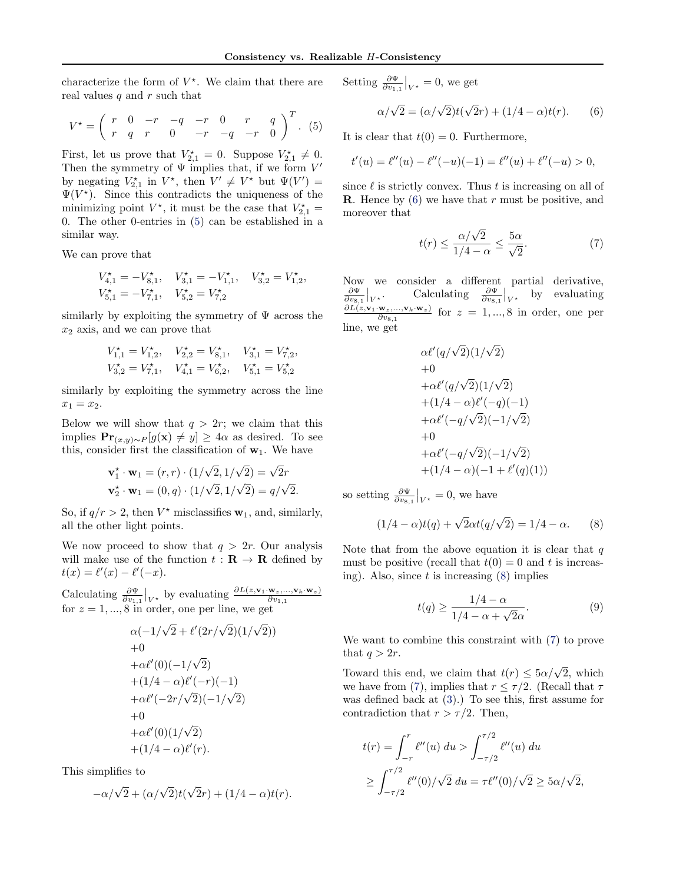<span id="page-5-0"></span>characterize the form of  $V^*$ . We claim that there are real values  $q$  and  $r$  such that

$$
V^* = \left(\begin{array}{cccccc} r & 0 & -r & -q & -r & 0 & r & q \\ r & q & r & 0 & -r & -q & -r & 0 \end{array}\right)^T.
$$
 (5)

First, let us prove that  $V_{2,1}^* = 0$ . Suppose  $V_{2,1}^* \neq 0$ . Then the symmetry of  $\Psi$  implies that, if we form  $V'$ by negating  $V_{2,1}^*$  in  $V^*$ , then  $V' \neq V^*$  but  $\Psi(V') =$  $\Psi(V^*)$ . Since this contradicts the uniqueness of the minimizing point  $V^*$ , it must be the case that  $V_{2,1}^* =$ 0. The other 0-entries in (5) can be established in a similar way.

We can prove that

$$
\begin{aligned} V_{4,1}^\star &= -V_{8,1}^\star, \quad V_{3,1}^\star &= -V_{1,1}^\star, \quad V_{3,2}^\star &= V_{1,2}^\star, \\ V_{5,1}^\star &= -V_{7,1}^\star, \quad V_{5,2}^\star &= V_{7,2}^\star \end{aligned}
$$

similarly by exploiting the symmetry of  $\Psi$  across the  $x_2$  axis, and we can prove that

$$
\begin{array}{ccc}\nV_{1,1}^* = V_{1,2}^*, & V_{2,2}^* = V_{8,1}^*, & V_{3,1}^* = V_{7,2}^*, \\
V_{3,2}^* = V_{7,1}^*, & V_{4,1}^* = V_{6,2}^*, & V_{5,1}^* = V_{5,2}^*\n\end{array}
$$

similarly by exploiting the symmetry across the line  $x_1 = x_2.$ 

Below we will show that  $q > 2r$ ; we claim that this implies  $\mathbf{Pr}_{(x,y)\sim P}[g(\mathbf{x}) \neq y] \geq 4\alpha$  as desired. To see this, consider first the classification of  $w_1$ . We have

$$
\mathbf{v}_1^* \cdot \mathbf{w}_1 = (r, r) \cdot (1/\sqrt{2}, 1/\sqrt{2}) = \sqrt{2}r
$$
  

$$
\mathbf{v}_2^* \cdot \mathbf{w}_1 = (0, q) \cdot (1/\sqrt{2}, 1/\sqrt{2}) = q/\sqrt{2}.
$$

So, if  $q/r > 2$ , then  $V^*$  misclassifies  $w_1$ , and, similarly, all the other light points.

We now proceed to show that  $q > 2r$ . Our analysis will make use of the function  $t : \mathbf{R} \to \mathbf{R}$  defined by  $t(x) = \ell'(x) - \ell'(-x).$ 

Calculating  $\frac{\partial \Psi}{\partial v_{1,1}}|_{V^*}$  by evaluating  $\frac{\partial L(z, \mathbf{v}_1 \cdot \mathbf{w}_z,..., \mathbf{v}_k \cdot \mathbf{w}_z)}{\partial v_{1,1}}$ for  $z = 1, ..., 8$  in order, one per line, we get

$$
\alpha(-1/\sqrt{2} + \ell'(2r/\sqrt{2})(1/\sqrt{2}))+0+ \alpha \ell'(0)(-1/\sqrt{2})+ (1/4 - \alpha)\ell'(-r)(-1)+ \alpha \ell'(-2r/\sqrt{2})(-1/\sqrt{2})+0+ \alpha \ell'(0)(1/\sqrt{2})+ (1/4 - \alpha)\ell'(r).
$$

This simplifies to

$$
-\alpha/\sqrt{2} + (\alpha/\sqrt{2})t(\sqrt{2}r) + (1/4 - \alpha)t(r).
$$

Setting  $\frac{\partial \Psi}{\partial v_{1,1}}\big|_{V^*} = 0$ , we get

$$
\alpha/\sqrt{2} = (\alpha/\sqrt{2})t(\sqrt{2}r) + (1/4 - \alpha)t(r). \qquad (6)
$$

It is clear that  $t(0) = 0$ . Furthermore,

$$
t'(u) = \ell''(u) - \ell''(-u)(-1) = \ell''(u) + \ell''(-u) > 0,
$$

since  $\ell$  is strictly convex. Thus t is increasing on all of **R**. Hence by  $(6)$  we have that r must be positive, and moreover that

$$
t(r) \le \frac{\alpha/\sqrt{2}}{1/4 - \alpha} \le \frac{5\alpha}{\sqrt{2}}.\tag{7}
$$

Now we consider a different partial derivative,  $\frac{\partial \Psi}{\partial v_{8,1}}\big|_{V^\star}$ Calculating  $\frac{\partial \Psi}{\partial v_{8,1}}|_{V^*}$  by evaluating  $\frac{\partial L(z, \mathbf{v}_1 \cdot \mathbf{w}_z,..., \mathbf{v}_k \cdot \mathbf{w}_z)}{\partial w_{k-1}}$  for  $z = 1,...,8$  in order, one per  $\overline{\partial v_{8,1}}$ line, we get

$$
\alpha \ell'(q/\sqrt{2})(1/\sqrt{2})
$$
  
+0  
+
$$
\alpha \ell'(q/\sqrt{2})(1/\sqrt{2})
$$
  
+
$$
(1/4 - \alpha)\ell'(-q)(-1)
$$
  
+
$$
\alpha \ell'(-q/\sqrt{2})(-1/\sqrt{2})
$$
  
+0  
+
$$
\alpha \ell'(-q/\sqrt{2})(-1/\sqrt{2})
$$
  
+
$$
(1/4 - \alpha)(-1 + \ell'(q)(1))
$$

so setting  $\frac{\partial \Psi}{\partial v_{8,1}}\big|_{V^*} = 0$ , we have

$$
(1/4 - \alpha)t(q) + \sqrt{2}\alpha t(q/\sqrt{2}) = 1/4 - \alpha.
$$
 (8)

Note that from the above equation it is clear that  $q$ must be positive (recall that  $t(0) = 0$  and t is increasing). Also, since  $t$  is increasing  $(8)$  implies

$$
t(q) \ge \frac{1/4 - \alpha}{1/4 - \alpha + \sqrt{2}\alpha}.\tag{9}
$$

We want to combine this constraint with (7) to prove that  $q > 2r$ .

Toward this end, we claim that  $t(r) \leq 5\alpha/\sqrt{2}$ , which we have from (7), implies that  $r \leq \tau/2$ . (Recall that  $\tau$ was defined back at [\(3\)](#page-4-0).) To see this, first assume for contradiction that  $r > \tau/2$ . Then,

$$
t(r) = \int_{-r}^{r} \ell''(u) du > \int_{-\tau/2}^{\tau/2} \ell''(u) du
$$
  
 
$$
\geq \int_{-\tau/2}^{\tau/2} \ell''(0) / \sqrt{2} du = \tau \ell''(0) / \sqrt{2} \geq 5\alpha / \sqrt{2},
$$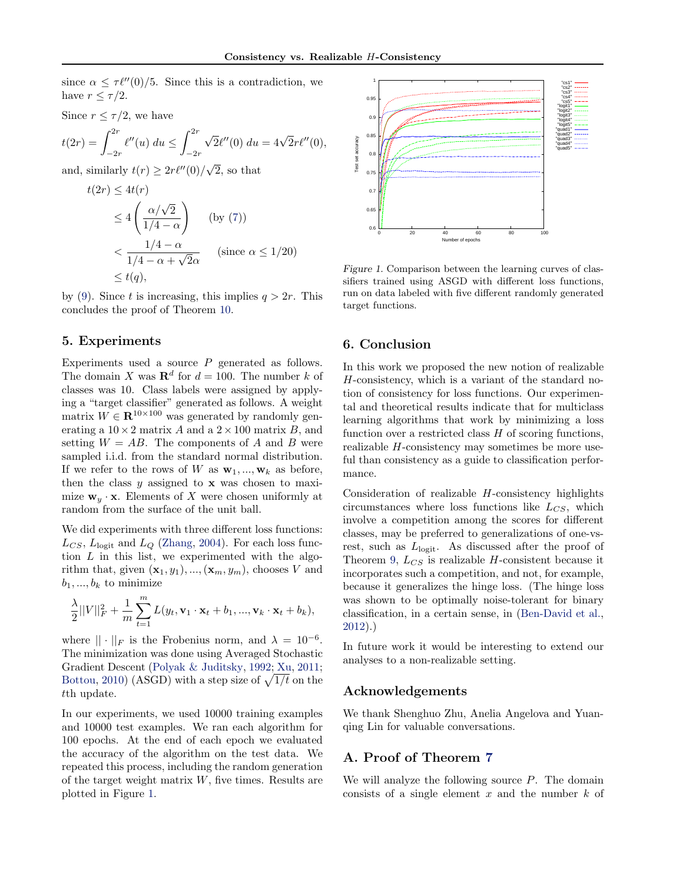<span id="page-6-0"></span>since  $\alpha \leq \tau \ell''(0)/5$ . Since this is a contradiction, we have  $r \leq \tau/2$ .

Since 
$$
r \le \tau/2
$$
, we have  
\n
$$
t(2r) = \int_{-2r}^{2r} \ell''(u) \ du \le \int_{-2r}^{2r} \sqrt{2} \ell''(0) \ du = 4\sqrt{2}r \ell''(0),
$$

and, similarly  $t(r) \geq 2r\ell''(0)/\sqrt{2}$ , so that

$$
t(2r) \le 4t(r)
$$
  
\n
$$
\le 4\left(\frac{\alpha/\sqrt{2}}{1/4 - \alpha}\right) \quad \text{(by (7))}
$$
  
\n
$$
< \frac{1/4 - \alpha}{1/4 - \alpha + \sqrt{2}\alpha} \quad \text{(since } \alpha \le 1/20)
$$
  
\n
$$
\le t(q),
$$

by [\(9\)](#page-5-0). Since t is increasing, this implies  $q > 2r$ . This concludes the proof of Theorem [10.](#page-3-0)

### 5. Experiments

Experiments used a source  $P$  generated as follows. The domain X was  $\mathbf{R}^d$  for  $d = 100$ . The number k of classes was 10. Class labels were assigned by applying a "target classifier" generated as follows. A weight matrix  $W \in \mathbb{R}^{10 \times 100}$  was generated by randomly generating a  $10 \times 2$  matrix A and a  $2 \times 100$  matrix B, and setting  $W = AB$ . The components of A and B were sampled i.i.d. from the standard normal distribution. If we refer to the rows of W as  $\mathbf{w}_1, ..., \mathbf{w}_k$  as before, then the class  $y$  assigned to  $x$  was chosen to maximize  $\mathbf{w}_y \cdot \mathbf{x}$ . Elements of X were chosen uniformly at random from the surface of the unit ball.

We did experiments with three different loss functions:  $L_{CS}$ ,  $L_{\text{logit}}$  and  $L_Q$  [\(Zhang,](#page-8-0) [2004](#page-8-0)). For each loss function  $L$  in this list, we experimented with the algorithm that, given  $(\mathbf{x}_1, y_1), ..., (\mathbf{x}_m, y_m)$ , chooses V and  $b_1, ..., b_k$  to minimize

$$
\frac{\lambda}{2}||V||_F^2 + \frac{1}{m}\sum_{t=1}^m L(y_t, \mathbf{v}_1 \cdot \mathbf{x}_t + b_1, ..., \mathbf{v}_k \cdot \mathbf{x}_t + b_k),
$$

where  $|| \cdot ||_F$  is the Frobenius norm, and  $\lambda = 10^{-6}$ . The minimization was done using Averaged Stochastic Gradient Descent [\(Polyak & Juditsky,](#page-8-0) [1992](#page-8-0); [Xu](#page-8-0), [2011;](#page-8-0) [Bottou,](#page-7-0) [2010](#page-7-0)) (ASGD) with a step size of  $\sqrt{1/t}$  on the tth update.

In our experiments, we used 10000 training examples and 10000 test examples. We ran each algorithm for 100 epochs. At the end of each epoch we evaluated the accuracy of the algorithm on the test data. We repeated this process, including the random generation of the target weight matrix  $W$ , five times. Results are plotted in Figure 1.



Figure 1. Comparison between the learning curves of classifiers trained using ASGD with different loss functions, run on data labeled with five different randomly generated target functions.

## 6. Conclusion

In this work we proposed the new notion of realizable H-consistency, which is a variant of the standard notion of consistency for loss functions. Our experimental and theoretical results indicate that for multiclass learning algorithms that work by minimizing a loss function over a restricted class  $H$  of scoring functions, realizable H-consistency may sometimes be more useful than consistency as a guide to classification performance.

Consideration of realizable  $H$ -consistency highlights circumstances where loss functions like  $L_{CS}$ , which involve a competition among the scores for different classes, may be preferred to generalizations of one-vsrest, such as  $L_{\text{logit}}$ . As discussed after the proof of Theorem [9,](#page-3-0)  $L_{CS}$  is realizable H-consistent because it incorporates such a competition, and not, for example, because it generalizes the hinge loss. (The hinge loss was shown to be optimally noise-tolerant for binary classification, in a certain sense, in [\(Ben-David et al.,](#page-7-0) [2012](#page-7-0)).)

In future work it would be interesting to extend our analyses to a non-realizable setting.

## Acknowledgements

We thank Shenghuo Zhu, Anelia Angelova and Yuanqing Lin for valuable conversations.

# A. Proof of Theorem [7](#page-3-0)

We will analyze the following source  $P$ . The domain consists of a single element  $x$  and the number  $k$  of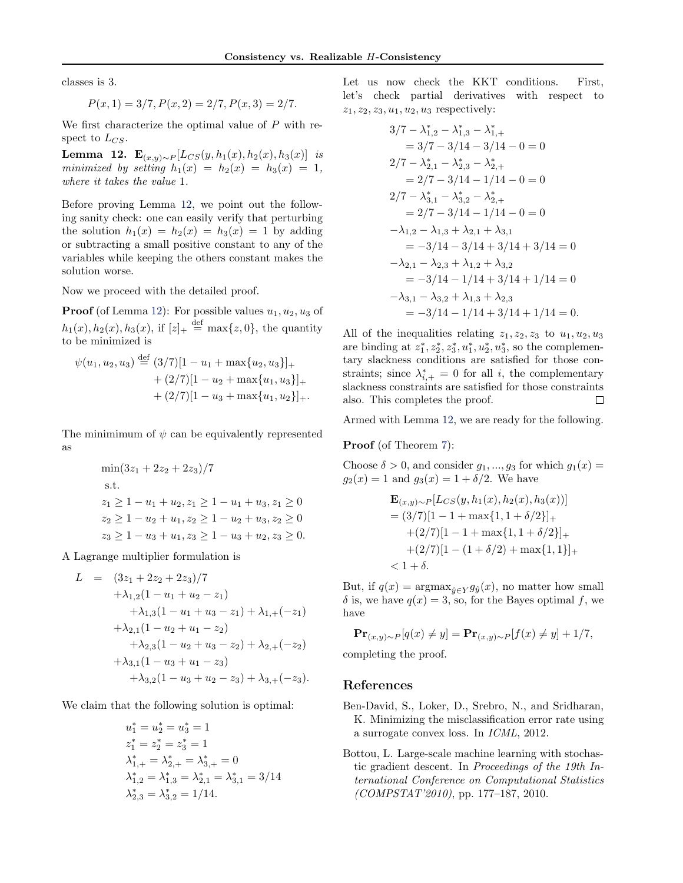<span id="page-7-0"></span>classes is 3.

$$
P(x, 1) = 3/7, P(x, 2) = 2/7, P(x, 3) = 2/7.
$$

We first characterize the optimal value of P with respect to  $L_{CS}$ .

Lemma 12. E<sub>(x,y)∼</sub>P[ $L_{CS}(y, h_1(x), h_2(x), h_3(x)$ ] is minimized by setting  $h_1(x) = h_2(x) = h_3(x) = 1$ , where it takes the value 1.

Before proving Lemma 12, we point out the following sanity check: one can easily verify that perturbing the solution  $h_1(x) = h_2(x) = h_3(x) = 1$  by adding or subtracting a small positive constant to any of the variables while keeping the others constant makes the solution worse.

Now we proceed with the detailed proof.

**Proof** (of Lemma 12): For possible values  $u_1, u_2, u_3$  of  $h_1(x), h_2(x), h_3(x),$  if  $[z]_+ \stackrel{\text{def}}{=} \max\{z, 0\}$ , the quantity to be minimized is

$$
\psi(u_1, u_2, u_3) \stackrel{\text{def}}{=} (3/7)[1 - u_1 + \max\{u_2, u_3\}]_+ + (2/7)[1 - u_2 + \max\{u_1, u_3\}]_+ + (2/7)[1 - u_3 + \max\{u_1, u_2\}]_+.
$$

The minimimum of  $\psi$  can be equivalently represented as

$$
\min(3z_1 + 2z_2 + 2z_3)/7
$$
\n  
\n
$$
s.t.
$$
\n
$$
z_1 \ge 1 - u_1 + u_2, z_1 \ge 1 - u_1 + u_3, z_1 \ge 0
$$
\n
$$
z_2 \ge 1 - u_2 + u_1, z_2 \ge 1 - u_2 + u_3, z_2 \ge 0
$$
\n
$$
z_3 \ge 1 - u_3 + u_1, z_3 \ge 1 - u_3 + u_2, z_3 \ge 0.
$$

A Lagrange multiplier formulation is

$$
L = (3z_1 + 2z_2 + 2z_3)/7
$$
  
+  $\lambda_{1,2}(1 - u_1 + u_2 - z_1)$   
+  $\lambda_{1,3}(1 - u_1 + u_3 - z_1) + \lambda_{1,+}(-z_1)$   
+  $\lambda_{2,1}(1 - u_2 + u_1 - z_2)$   
+  $\lambda_{2,3}(1 - u_2 + u_3 - z_2) + \lambda_{2,+}(-z_2)$   
+  $\lambda_{3,1}(1 - u_3 + u_1 - z_3)$   
+  $\lambda_{3,2}(1 - u_3 + u_2 - z_3) + \lambda_{3,+}(-z_3)$ .

We claim that the following solution is optimal:

$$
u_1^* = u_2^* = u_3^* = 1
$$
  
\n
$$
z_1^* = z_2^* = z_3^* = 1
$$
  
\n
$$
\lambda_{1,+}^* = \lambda_{2,+}^* = \lambda_{3,+}^* = 0
$$
  
\n
$$
\lambda_{1,2}^* = \lambda_{1,3}^* = \lambda_{2,1}^* = \lambda_{3,1}^* = 3/14
$$
  
\n
$$
\lambda_{2,3}^* = \lambda_{3,2}^* = 1/14.
$$

Let us now check the KKT conditions. First, let's check partial derivatives with respect to  $z_1, z_2, z_3, u_1, u_2, u_3$  respectively:

$$
3/7 - \lambda_{1,2}^* - \lambda_{1,3}^* - \lambda_{1,+}^*
$$
  
\n
$$
= 3/7 - 3/14 - 3/14 - 0 = 0
$$
  
\n
$$
2/7 - \lambda_{2,1}^* - \lambda_{2,3}^* - \lambda_{2,+}^*
$$
  
\n
$$
= 2/7 - 3/14 - 1/14 - 0 = 0
$$
  
\n
$$
2/7 - \lambda_{3,1}^* - \lambda_{3,2}^* - \lambda_{2,+}^*
$$
  
\n
$$
= 2/7 - 3/14 - 1/14 - 0 = 0
$$
  
\n
$$
-\lambda_{1,2} - \lambda_{1,3} + \lambda_{2,1} + \lambda_{3,1}
$$
  
\n
$$
= -3/14 - 3/14 + 3/14 + 3/14 = 0
$$
  
\n
$$
-\lambda_{2,1} - \lambda_{2,3} + \lambda_{1,2} + \lambda_{3,2}
$$
  
\n
$$
= -3/14 - 1/14 + 3/14 + 1/14 = 0
$$
  
\n
$$
-\lambda_{3,1} - \lambda_{3,2} + \lambda_{1,3} + \lambda_{2,3}
$$
  
\n
$$
= -3/14 - 1/14 + 3/14 + 1/14 = 0.
$$

All of the inequalities relating  $z_1, z_2, z_3$  to  $u_1, u_2, u_3$ are binding at  $z_1^*, z_2^*, z_3^*, u_1^*, u_2^*, u_3^*$ , so the complementary slackness conditions are satisfied for those constraints; since  $\lambda_{i,+}^* = 0$  for all i, the complementary slackness constraints are satisfied for those constraints also. This completes the proof.  $\Box$ 

Armed with Lemma 12, we are ready for the following.

### Proof (of Theorem [7\)](#page-3-0):

Choose  $\delta > 0$ , and consider  $g_1, ..., g_3$  for which  $g_1(x) =$  $g_2(x) = 1$  and  $g_3(x) = 1 + \delta/2$ . We have

$$
\mathbf{E}_{(x,y)\sim P}[L_{CS}(y, h_1(x), h_2(x), h_3(x))]
$$
  
= (3/7)[1 - 1 + max{1, 1 + \delta/2}]  
+ (2/7)[1 - 1 + max{1, 1 + \delta/2}]  
+ (2/7)[1 - (1 + \delta/2) + max{1, 1}]  
< 1 + \delta.

But, if  $q(x) = \operatorname{argmax}_{\hat{y} \in Y} g_{\hat{y}}(x)$ , no matter how small  $\delta$  is, we have  $q(x) = 3$ , so, for the Bayes optimal f, we have

$$
\mathbf{Pr}_{(x,y)\sim P}[q(x) \neq y] = \mathbf{Pr}_{(x,y)\sim P}[f(x) \neq y] + 1/7,
$$

completing the proof.

### References

- Ben-David, S., Loker, D., Srebro, N., and Sridharan, K. Minimizing the misclassification error rate using a surrogate convex loss. In ICML, 2012.
- Bottou, L. Large-scale machine learning with stochastic gradient descent. In Proceedings of the 19th International Conference on Computational Statistics (COMPSTAT'2010), pp. 177–187, 2010.